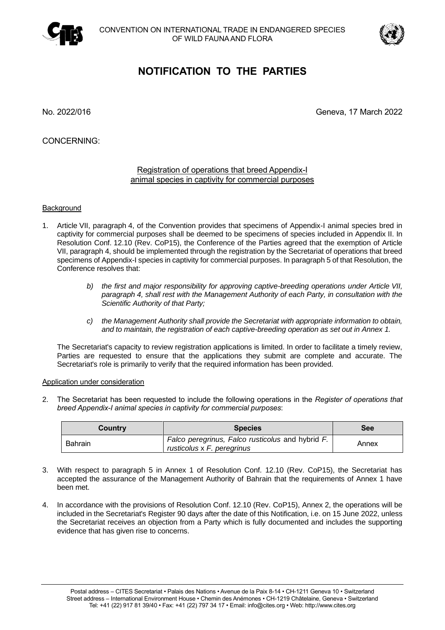



## **NOTIFICATION TO THE PARTIES**

No. 2022/016 Geneva, 17 March 2022

CONCERNING:

## Registration of operations that breed Appendix-I animal species in captivity for commercial purposes

## **Background**

- 1. Article VII, paragraph 4, of the Convention provides that specimens of Appendix-I animal species bred in captivity for commercial purposes shall be deemed to be specimens of species included in Appendix II. In Resolution Conf. 12.10 (Rev. CoP15), the Conference of the Parties agreed that the exemption of Article VII, paragraph 4, should be implemented through the registration by the Secretariat of operations that breed specimens of Appendix-I species in captivity for commercial purposes. In paragraph 5 of that Resolution, the Conference resolves that:
	- *b) the first and major responsibility for approving captive-breeding operations under Article VII, paragraph 4, shall rest with the Management Authority of each Party, in consultation with the Scientific Authority of that Party;*
	- *c) the Management Authority shall provide the Secretariat with appropriate information to obtain, and to maintain, the registration of each captive-breeding operation as set out in Annex 1.*

The Secretariat's capacity to review registration applications is limited. In order to facilitate a timely review, Parties are requested to ensure that the applications they submit are complete and accurate. The Secretariat's role is primarily to verify that the required information has been provided.

## Application under consideration

2. The Secretariat has been requested to include the following operations in the *Register of operations that breed Appendix-I animal species in captivity for commercial purposes*:

| Country        | <b>Species</b>                                                                 | <b>See</b> |
|----------------|--------------------------------------------------------------------------------|------------|
| <b>Bahrain</b> | Falco peregrinus, Falco rusticolus and hybrid F.<br>rusticolus x F. peregrinus | Annex      |

- 3. With respect to paragraph 5 in Annex 1 of Resolution Conf. 12.10 (Rev. CoP15), the Secretariat has accepted the assurance of the Management Authority of Bahrain that the requirements of Annex 1 have been met.
- 4. In accordance with the provisions of Resolution Conf. 12.10 (Rev. CoP15), Annex 2, the operations will be included in the Secretariat's Register 90 days after the date of this Notification, i.e. on 15 June 2022, unless the Secretariat receives an objection from a Party which is fully documented and includes the supporting evidence that has given rise to concerns.